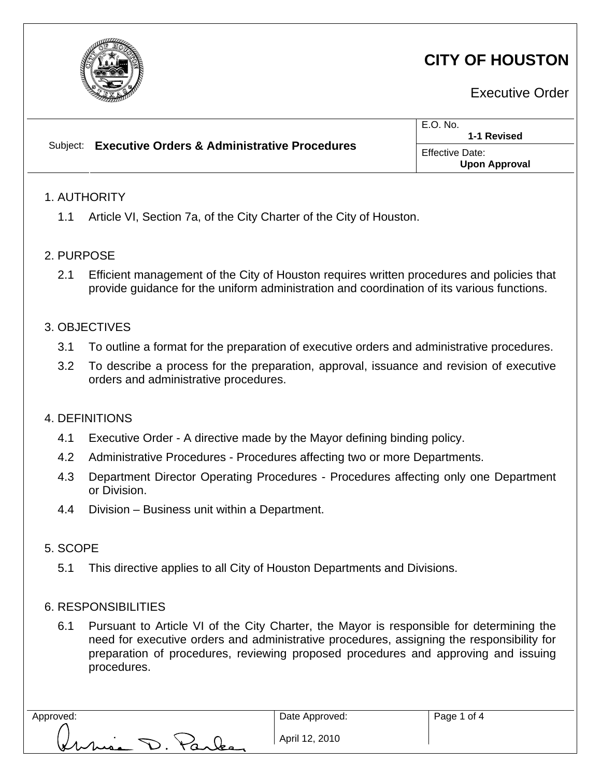

# **CITY OF HOUSTON**

Executive Order

| <b>Executive Orders &amp; Administrative Procedures</b><br>Subiect:<br>Effective Date:<br><b>Upon Approval</b> |
|----------------------------------------------------------------------------------------------------------------|

# 2. PURPOSE

2.1 Efficient management of the City of Houston requires written procedures and policies that provide guidance for the uniform administration and coordination of its various functions.

# 3. OBJECTIVES

- 3.1 To outline a format for the preparation of executive orders and administrative procedures.
- 3.2 To describe a process for the preparation, approval, issuance and revision of executive orders and administrative procedures.

#### 4. DEFINITIONS

- 4.1 Executive Order A directive made by the Mayor defining binding policy.
- 4.2 Administrative Procedures Procedures affecting two or more Departments.
- 4.3 Department Director Operating Procedures Procedures affecting only one Department or Division.
- 4.4 Division Business unit within a Department.

# 5. SCOPE

5.1 This directive applies to all City of Houston Departments and Divisions.

#### 6. RESPONSIBILITIES

6.1 Pursuant to Article VI of the City Charter, the Mayor is responsible for determining the need for executive orders and administrative procedures, assigning the responsibility for preparation of procedures, reviewing proposed procedures and approving and issuing procedures.

his D. Parks

Date Approved: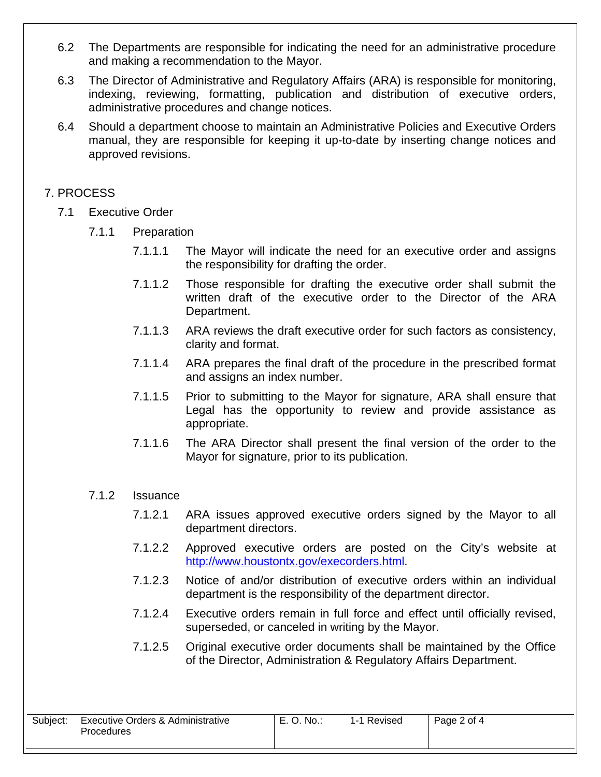- 6.2 The Departments are responsible for indicating the need for an administrative procedure and making a recommendation to the Mayor.
- 6.3 The Director of Administrative and Regulatory Affairs (ARA) is responsible for monitoring, indexing, reviewing, formatting, publication and distribution of executive orders, administrative procedures and change notices.
- 6.4 Should a department choose to maintain an Administrative Policies and Executive Orders manual, they are responsible for keeping it up-to-date by inserting change notices and approved revisions.

# 7. PROCESS

i<br>I

- 7.1 Executive Order
	- 7.1.1 Preparation
		- 7.1.1.1 The Mayor will indicate the need for an executive order and assigns the responsibility for drafting the order.
		- 7.1.1.2 Those responsible for drafting the executive order shall submit the written draft of the executive order to the Director of the ARA Department.
		- 7.1.1.3 ARA reviews the draft executive order for such factors as consistency, clarity and format.
		- 7.1.1.4 ARA prepares the final draft of the procedure in the prescribed format and assigns an index number.
		- 7.1.1.5 Prior to submitting to the Mayor for signature, ARA shall ensure that Legal has the opportunity to review and provide assistance as appropriate.
		- 7.1.1.6 The ARA Director shall present the final version of the order to the Mayor for signature, prior to its publication.

# 7.1.2 Issuance

- 7.1.2.1 ARA issues approved executive orders signed by the Mayor to all department directors.
- 7.1.2.2 Approved executive orders are posted on the City's website at <http://www.houstontx.gov/execorders.html>.
- 7.1.2.3 Notice of and/or distribution of executive orders within an individual department is the responsibility of the department director.
- 7.1.2.4 Executive orders remain in full force and effect until officially revised, superseded, or canceled in writing by the Mayor.
- 7.1.2.5 Original executive order documents shall be maintained by the Office of the Director, Administration & Regulatory Affairs Department.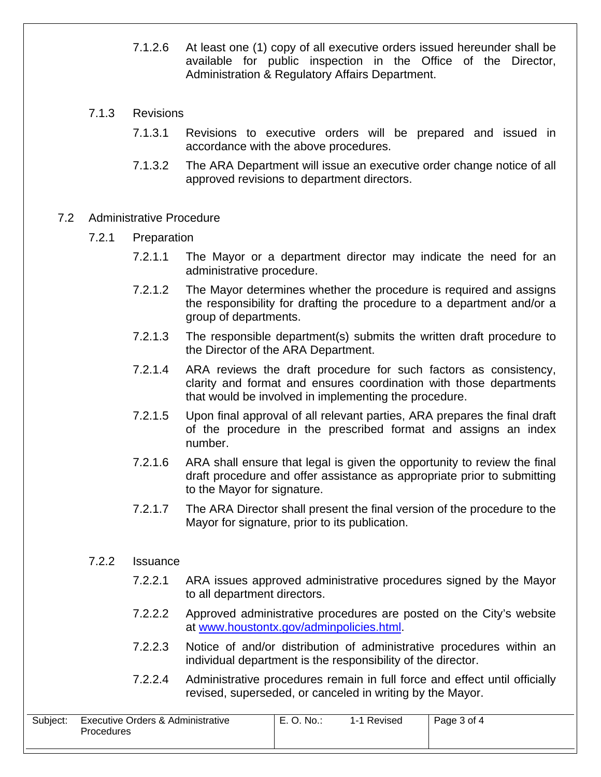- 7.1.2.6 At least one (1) copy of all executive orders issued hereunder shall be available for public inspection in the Office of the Director, Administration & Regulatory Affairs Department.
- 7.1.3 Revisions

i<br>I

- 7.1.3.1 Revisions to executive orders will be prepared and issued in accordance with the above procedures.
- 7.1.3.2 The ARA Department will issue an executive order change notice of all approved revisions to department directors.
- 7.2 Administrative Procedure
	- 7.2.1 Preparation
		- 7.2.1.1 The Mayor or a department director may indicate the need for an administrative procedure.
		- 7.2.1.2 The Mayor determines whether the procedure is required and assigns the responsibility for drafting the procedure to a department and/or a group of departments.
		- 7.2.1.3 The responsible department(s) submits the written draft procedure to the Director of the ARA Department.
		- 7.2.1.4 ARA reviews the draft procedure for such factors as consistency, clarity and format and ensures coordination with those departments that would be involved in implementing the procedure.
		- 7.2.1.5 Upon final approval of all relevant parties, ARA prepares the final draft of the procedure in the prescribed format and assigns an index number.
		- 7.2.1.6 ARA shall ensure that legal is given the opportunity to review the final draft procedure and offer assistance as appropriate prior to submitting to the Mayor for signature.
		- 7.2.1.7 The ARA Director shall present the final version of the procedure to the Mayor for signature, prior to its publication.

#### 7.2.2 Issuance

- 7.2.2.1 ARA issues approved administrative procedures signed by the Mayor to all department directors.
- 7.2.2.2 Approved administrative procedures are posted on the City's website at [www.houstontx.gov/adminpolicies.html.](http://www.houstontx.gov/adminpolicies.html)
- 7.2.2.3 Notice of and/or distribution of administrative procedures within an individual department is the responsibility of the director.
- 7.2.2.4 Administrative procedures remain in full force and effect until officially revised, superseded, or canceled in writing by the Mayor.

| Subject: | Executive Orders & Administrative | E. O. No.: | 1-1 Revised | Page 3 of 4 |
|----------|-----------------------------------|------------|-------------|-------------|
|          | Procedures                        |            |             |             |
|          |                                   |            |             |             |